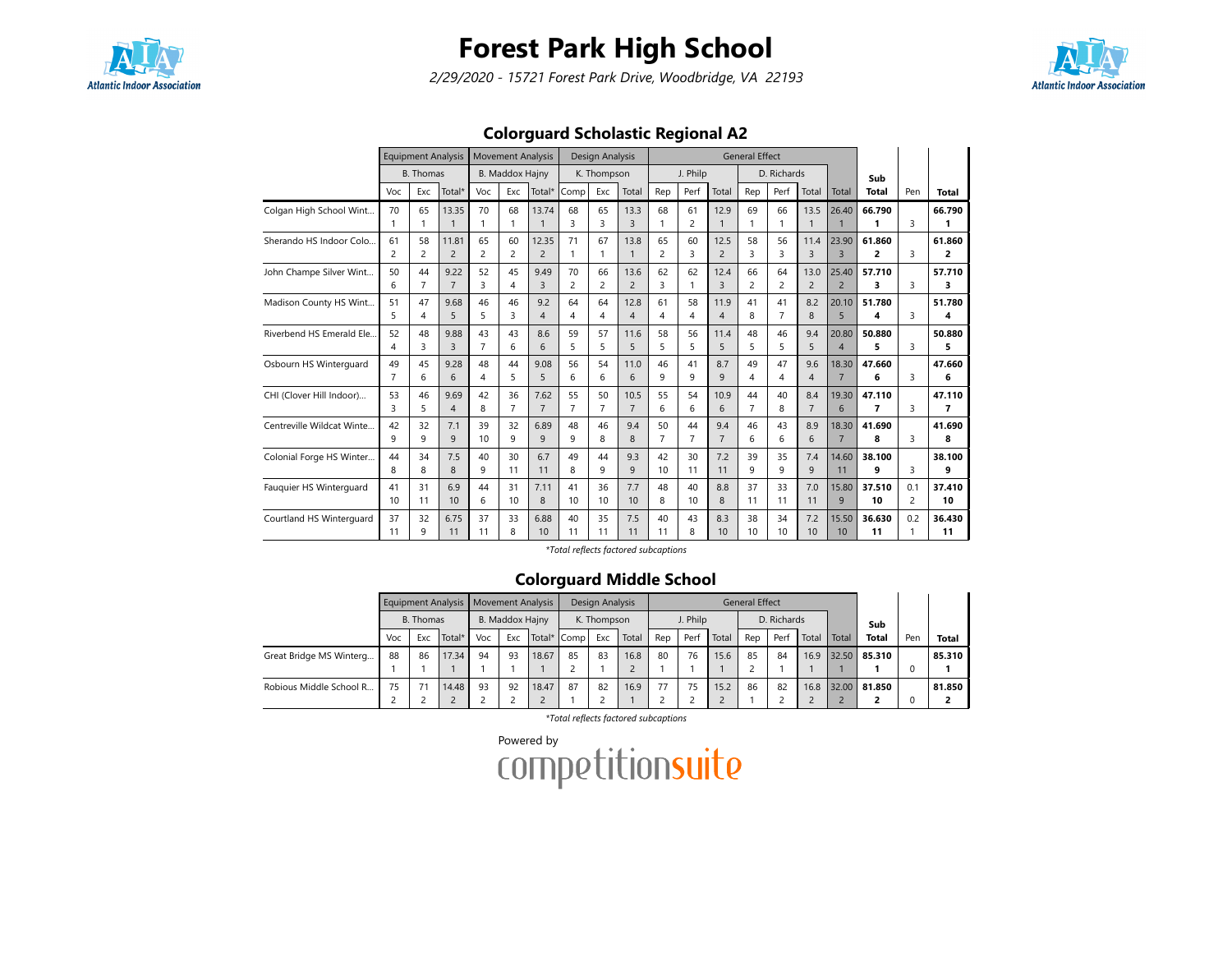

2/29/2020 - 15721 Forest Park Drive, Woodbridge, VA 22193



### Colorguard Scholastic Regional A2

|                           |                      |                      | <b>Equipment Analysis</b> |                      | <b>Movement Analysis</b> |                              |                      | Design Analysis      |                        |                      |                               |                        | <b>General Effect</b> |                      |                        |                         |              |                       |              |
|---------------------------|----------------------|----------------------|---------------------------|----------------------|--------------------------|------------------------------|----------------------|----------------------|------------------------|----------------------|-------------------------------|------------------------|-----------------------|----------------------|------------------------|-------------------------|--------------|-----------------------|--------------|
|                           |                      | <b>B.</b> Thomas     |                           |                      | <b>B. Maddox Hajny</b>   |                              |                      | K. Thompson          |                        |                      | J. Philp                      |                        |                       | D. Richards          |                        |                         | Sub          |                       |              |
|                           | Voc                  | Exc                  | Total*                    | Voc                  | Exc                      | Total*                       | Comp                 | Exc                  | Total                  | Rep                  | Perf                          | Total                  | Rep                   | Perf                 | Total                  | Total                   | <b>Total</b> | Pen                   | <b>Total</b> |
| Colgan High School Wint   | 70<br>1              | 65<br>1              | 13.35                     | 70<br>1              | 68<br>$\mathbf{1}$       | 13.74                        | 68<br>3              | 65<br>3              | 13.3<br>3              | 68<br>1              | 61<br>$\overline{c}$          | 12.9<br>$\mathbf{1}$   | 69                    | 66                   | 13.5<br>1              | 26.40                   | 66.790<br>1  | 3                     | 66.790       |
| Sherando HS Indoor Colo   | 61<br>$\overline{c}$ | 58<br>2              | 11.81<br>$\overline{2}$   | 65<br>$\overline{2}$ | 60<br>$\overline{c}$     | 12.35<br>$\overline{c}$      | 71<br>1              | 67                   | 13.8<br>$\mathbf{1}$   | 65<br>$\overline{2}$ | 60<br>3                       | 12.5<br>$\overline{c}$ | 58<br>3               | 56<br>3              | 11.4<br>3              | 23.90<br>$\overline{3}$ | 61.860<br>2  | 3                     | 61.860<br>2  |
| John Champe Silver Wint   | 50<br>6              | 44<br>$\overline{7}$ | 9.22<br>$\overline{7}$    | 52<br>3              | 45<br>$\overline{4}$     | 9.49<br>$\overline{3}$       | 70<br>$\overline{c}$ | 66<br>$\overline{2}$ | 13.6<br>$\overline{2}$ | 62<br>3              | 62<br>1                       | 12.4<br>3              | 66<br>$\overline{c}$  | 64<br>$\overline{2}$ | 13.0<br>$\overline{2}$ | 25.40<br>$\overline{2}$ | 57.710<br>3  | 3                     | 57.710<br>3  |
| Madison County HS Wint    | 51<br>5              | 47<br>4              | 9.68<br>5                 | 46<br>5              | 46<br>3                  | 9.2<br>$\boldsymbol{\Delta}$ | 64<br>4              | 64<br>4              | 12.8<br>$\overline{4}$ | 61<br>$\overline{4}$ | 58<br>$\overline{\mathbf{4}}$ | 11.9<br>$\overline{4}$ | 41<br>8               | 41<br>$\overline{7}$ | 8.2<br>8               | 20.10<br>5              | 51.780<br>4  | 3                     | 51.780<br>4  |
| Riverbend HS Emerald Ele. | 52<br>4              | 48<br>3              | 9.88<br>3                 | 43<br>$\overline{7}$ | 43<br>6                  | 8.6<br>6                     | 59<br>5              | 57<br>5              | 11.6<br>5              | 58<br>5              | 56<br>5                       | 11.4<br>5              | 48<br>5               | 46<br>5              | 9.4<br>5               | 20.80<br>$\overline{4}$ | 50.880<br>5  | 3                     | 50.880<br>5  |
| Osbourn HS Winterquard    | 49<br>7              | 45<br>6              | 9.28<br>6                 | 48<br>4              | 44<br>5                  | 9.08<br>5                    | 56<br>6              | 54<br>6              | 11.0<br>6              | 46<br>9              | 41<br>9                       | 8.7<br>9               | 49<br>4               | 47<br>4              | 9.6<br>$\overline{4}$  | 18.30<br>$\overline{7}$ | 47.660<br>6  | 3                     | 47.660<br>6  |
| CHI (Clover Hill Indoor)  | 53<br>3              | 46<br>5              | 9.69<br>$\overline{4}$    | 42<br>8              | 36<br>$\overline{7}$     | 7.62<br>$\overline{7}$       | 55<br>7              | 50<br>7              | 10.5<br>$\overline{7}$ | 55<br>6              | 54<br>6                       | 10.9<br>6              | 44<br>$\overline{7}$  | 40<br>8              | 8.4<br>$\overline{7}$  | 19.30<br>6              | 47.110<br>7  | 3                     | 47.110<br>7  |
| Centreville Wildcat Winte | 42<br>q              | 32<br>9              | 7.1<br>9                  | 39<br>10             | 32<br>9                  | 6.89<br>$\mathsf{Q}$         | 48<br>q              | 46<br>8              | 9.4<br>8               | 50<br>$\overline{7}$ | 44<br>$\overline{7}$          | 9.4<br>$\overline{7}$  | 46<br>6               | 43<br>6              | 8.9<br>6               | 18.30<br>$\overline{7}$ | 41.690<br>R  | $\mathbf{R}$          | 41.690<br>8  |
| Colonial Forge HS Winter  | 44<br>8              | 34<br>8              | 7.5<br>8                  | 40<br>9              | 30<br>11                 | 6.7<br>11                    | 49<br>8              | 44<br>q              | 9.3<br>9               | 42<br>10             | 30<br>11                      | 7.2<br>11              | 39<br>q               | 35<br>9              | 7.4<br>9               | 14.60<br>11             | 38.100<br>q  | 3                     | 38.100<br>9  |
| Fauguier HS Winterguard   | 41<br>10             | 31<br>11             | 6.9<br>10                 | 44<br>6              | 31<br>10                 | 7.11<br>8                    | 41<br>10             | 36<br>10             | 7.7<br>10              | 48<br>8              | 40<br>10                      | 8.8<br>8               | 37<br>11              | 33<br>11             | 7.0<br>11              | 15.80<br>9              | 37.510<br>10 | 0.1<br>$\overline{c}$ | 37.410<br>10 |
| Courtland HS Winterquard  | 37<br>11             | 32<br>9              | 6.75<br>11                | 37<br>11             | 33<br>8                  | 6.88<br>10                   | 40<br>11             | 35<br>11             | 7.5<br>11              | 40<br>11             | 43<br>8                       | 8.3<br>10              | 38<br>10              | 34<br>10             | 7.2<br>10              | 15.50<br>10             | 36.630<br>11 | 0.2<br>$\mathbf{1}$   | 36.430<br>11 |

\*Total reflects factored subcaptions

### Colorguard Middle School

|                         |     |           | Equipment Analysis   Movement Analysis |     |                 |       |             | Design Analysis |       |     |          |       | <b>General Effect</b> |             |       |       |              |     |              |
|-------------------------|-----|-----------|----------------------------------------|-----|-----------------|-------|-------------|-----------------|-------|-----|----------|-------|-----------------------|-------------|-------|-------|--------------|-----|--------------|
|                         |     | B. Thomas |                                        |     | B. Maddox Hajny |       |             | K. Thompson     |       |     | J. Philp |       |                       | D. Richards |       |       | Sub          |     |              |
|                         | Voc | Exc       | Total*                                 | Voc | Exc             |       | Total* Comp | Exc             | Total | Rep | Perf     | Total | Rep                   | Perf        | Total | Total | <b>Total</b> | Pen | <b>Total</b> |
| Great Bridge MS Winterg | 88  | 86        | 17.34                                  | 94  | 93              | 18.67 | 85          | 83              | 16.8  | 80  | 76       | 15.6  | 85                    | 84          | 16.9  | 32.50 | 85.310       |     | 85.310       |
|                         |     |           |                                        |     |                 |       |             |                 |       |     |          |       |                       |             |       |       |              |     |              |
| Robious Middle School R | 75  |           | 14.48                                  | 93  | 92              | 18.47 | 87          | 82              | 16.9  | 77  | 75       | 15.2  | 86                    | 82          | 16.8  | 32.00 | 81.850       |     | 81.850       |
|                         |     |           |                                        |     |                 |       |             |                 |       |     |          |       |                       |             |       |       |              |     |              |

\*Total reflects factored subcaptions

Powered by<br>COMPetitionsuite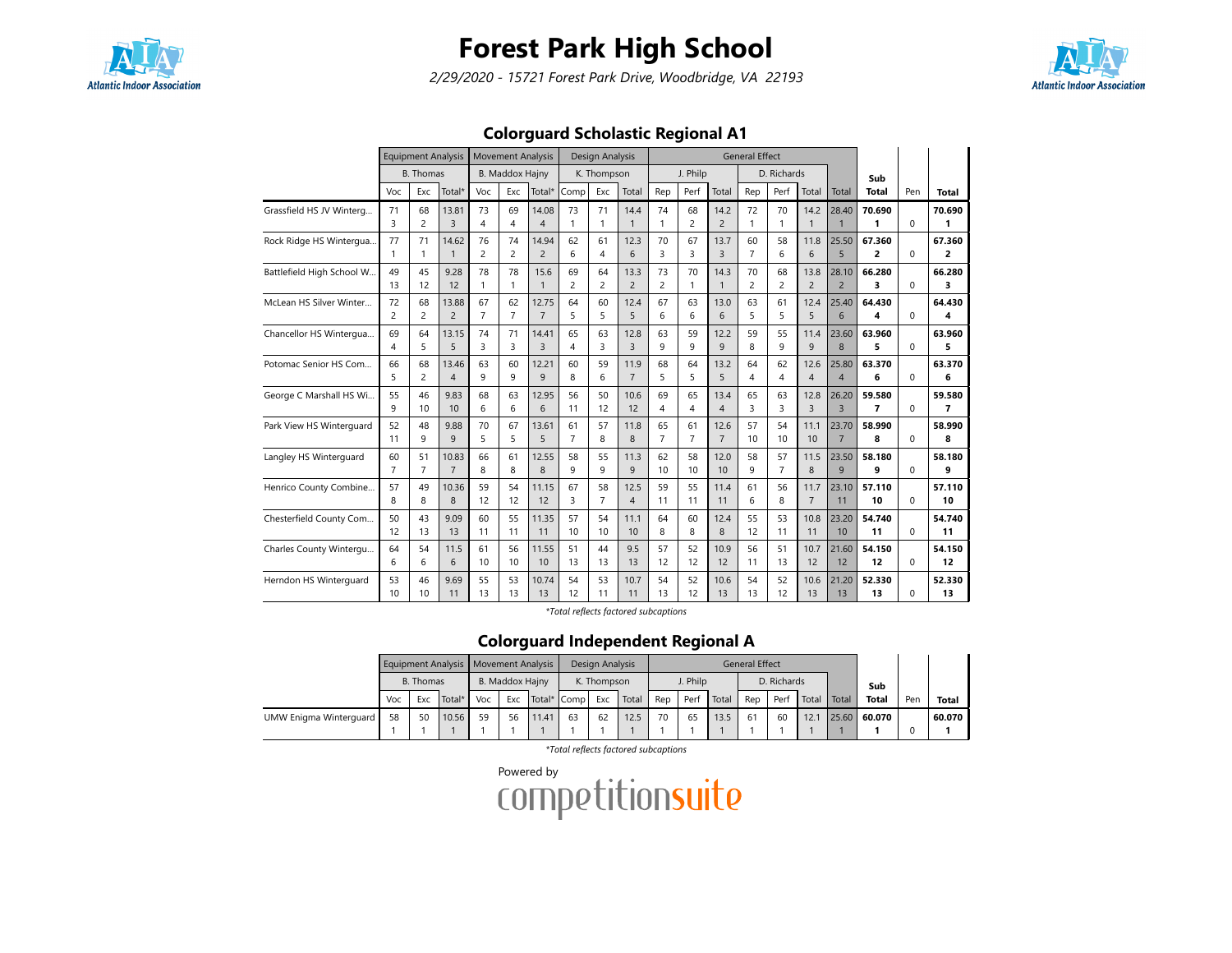

2/29/2020 - 15721 Forest Park Drive, Woodbridge, VA 22193



### Colorguard Scholastic Regional A1

|                           |                      | <b>Equipment Analysis</b> |                         |                      | <b>Movement Analysis</b> |                         |                      | Design Analysis      |                        |                      |                      |                        | <b>General Effect</b> |                      |                        |                         |                                    |          |              |
|---------------------------|----------------------|---------------------------|-------------------------|----------------------|--------------------------|-------------------------|----------------------|----------------------|------------------------|----------------------|----------------------|------------------------|-----------------------|----------------------|------------------------|-------------------------|------------------------------------|----------|--------------|
|                           |                      | <b>B.</b> Thomas          |                         |                      | <b>B. Maddox Hajny</b>   |                         |                      | K. Thompson          |                        |                      | J. Philp             |                        |                       | D. Richards          |                        |                         | Sub                                |          |              |
|                           | Voc                  | Exc                       | Total*                  | Voc                  | Exc                      | Total*                  | Comp                 | Exc                  | Total                  | Rep                  | Perf                 | Total                  | Rep                   | Perf                 | Total                  | Total                   | <b>Total</b>                       | Pen      | <b>Total</b> |
| Grassfield HS JV Winterg  | 71<br>3              | 68<br>2                   | 13.81<br>$\overline{3}$ | 73<br>4              | 69<br>4                  | 14.08<br>$\overline{A}$ | 73                   | 71<br>1              | 14.4<br>$\mathbf{1}$   | 74<br>1              | 68<br>$\overline{c}$ | 14.2<br>$\overline{2}$ | 72<br>$\mathbf{1}$    | 70<br>1              | 14.2<br>$\mathbf{1}$   | 28.40                   | 70.690<br>1                        | $\Omega$ | 70.690<br>1  |
| Rock Ridge HS Wintergua   | 77<br>1              | 71<br>1                   | 14.62<br>$\overline{1}$ | 76<br>$\overline{c}$ | 74<br>$\overline{2}$     | 14.94<br>$\overline{2}$ | 62<br>6              | 61<br>4              | 12.3<br>6              | 70<br>3              | 67<br>3              | 13.7<br>3              | 60<br>$\overline{7}$  | 58<br>6              | 11.8<br>6              | 25.50<br>5              | 67.360<br>2                        | 0        | 67.360<br>2  |
| Battlefield High School W | 49<br>13             | 45<br>12                  | 9.28<br>12              | 78<br>1              | 78<br>$\mathbf{1}$       | 15.6                    | 69<br>2              | 64<br>$\overline{c}$ | 13.3<br>$\overline{2}$ | 73<br>$\overline{c}$ | 70<br>$\mathbf{1}$   | 14.3<br>$\mathbf{1}$   | 70<br>$\overline{c}$  | 68<br>$\overline{c}$ | 13.8<br>$\overline{2}$ | 28.10<br>$\overline{2}$ | 66.280<br>3                        | $\Omega$ | 66.280<br>3  |
| McLean HS Silver Winter   | 72<br>$\overline{c}$ | 68<br>2                   | 13.88<br>$\overline{2}$ | 67<br>$\overline{7}$ | 62<br>$\overline{7}$     | 12.75<br>$\overline{7}$ | 64<br>5              | 60<br>5              | 12.4<br>5              | 67<br>6              | 63<br>6              | 13.0<br>6              | 63<br>5               | 61<br>5              | 12.4<br>5              | 25.40<br>6              | 64.430<br>4                        | $\Omega$ | 64.430<br>4  |
| Chancellor HS Wintergua   | 69<br>4              | 64<br>5                   | 13.15<br>5              | 74<br>3              | 71<br>3                  | 14.41<br>$\overline{3}$ | 65<br>4              | 63<br>3              | 12.8<br>$\overline{3}$ | 63<br>9              | 59<br>9              | 12.2<br>9              | 59<br>8               | 55<br>9              | 11.4<br>9              | 23.60<br>$\mathbf{8}$   | 63.960<br>5                        | $\Omega$ | 63.960<br>5  |
| Potomac Senior HS Com     | 66<br>5              | 68<br>$\overline{c}$      | 13.46<br>$\overline{4}$ | 63<br>9              | 60<br>9                  | 12.21<br>9              | 60<br>8              | 59<br>6              | 11.9<br>$\overline{7}$ | 68<br>5              | 64<br>5              | 13.2<br>5              | 64<br>4               | 62<br>4              | 12.6<br>$\overline{4}$ | 25.80<br>$\overline{4}$ | 63.370<br>6                        | 0        | 63.370<br>6  |
| George C Marshall HS Wi   | 55<br>9              | 46<br>10                  | 9.83<br>10              | 68<br>6              | 63<br>6                  | 12.95<br>6              | 56<br>11             | 50<br>12             | 10.6<br>12             | 69<br>4              | 65<br>$\overline{4}$ | 13.4<br>$\overline{4}$ | 65<br>3               | 63<br>3              | 12.8<br>3              | 26.20<br>$\overline{3}$ | 59.580<br>$\overline{\phantom{a}}$ | $\Omega$ | 59.580<br>7  |
| Park View HS Winterguard  | 52<br>11             | 48<br>9                   | 9.88<br>9               | 70<br>5              | 67<br>5                  | 13.61<br>5              | 61<br>$\overline{7}$ | 57<br>8              | 11.8<br>8              | 65<br>$\overline{7}$ | 61<br>$\overline{7}$ | 12.6<br>$\overline{7}$ | 57<br>10              | 54<br>10             | 11.1<br>10             | 23.70<br>$\overline{7}$ | 58.990<br>8                        | $\Omega$ | 58.990<br>8  |
| Langley HS Winterguard    | 60<br>$\overline{7}$ | 51<br>$\overline{7}$      | 10.83<br>$\overline{7}$ | 66<br>8              | 61<br>8                  | 12.55<br>8              | 58<br>9              | 55<br>9              | 11.3<br>9              | 62<br>10             | 58<br>10             | 12.0<br>10             | 58<br>9               | 57<br>$\overline{7}$ | 11.5<br>8              | 23.50<br>9              | 58.180<br>9                        | $\Omega$ | 58.180<br>9  |
| Henrico County Combine    | 57<br>8              | 49<br>8                   | 10.36<br>8              | 59<br>12             | 54<br>12                 | 11.15<br>12             | 67<br>3              | 58<br>$\overline{7}$ | 12.5<br>$\overline{4}$ | 59<br>11             | 55<br>11             | 11.4<br>11             | 61<br>6               | 56<br>8              | 11.7<br>$\overline{7}$ | 23.10<br>11             | 57.110<br>10                       | $\Omega$ | 57.110<br>10 |
| Chesterfield County Com   | 50<br>12             | 43<br>13                  | 9.09<br>13              | 60<br>11             | 55<br>11                 | 11.35<br>11             | 57<br>10             | 54<br>10             | 11.1<br>10             | 64<br>8              | 60<br>8              | 12.4<br>8              | 55<br>12              | 53<br>11             | 10.8<br>11             | 23.20<br>10             | 54.740<br>11                       | $\Omega$ | 54.740<br>11 |
| Charles County Wintergu   | 64<br>6              | 54<br>6                   | 11.5<br>6               | 61<br>10             | 56<br>10                 | 11.55<br>10             | 51<br>13             | 44<br>13             | 9.5<br>13              | 57<br>12             | 52<br>12             | 10.9<br>12             | 56<br>11              | 51<br>13             | 10.7<br>12             | 21.60<br>12             | 54.150<br>12                       | 0        | 54.150<br>12 |
| Herndon HS Winterquard    | 53<br>10             | 46<br>10                  | 9.69<br>11              | 55<br>13             | 53<br>13                 | 10.74<br>13             | 54<br>12             | 53<br>11             | 10.7<br>11             | 54<br>13             | 52<br>12             | 10.6<br>13             | 54<br>13              | 52<br>12             | 10.6<br>13             | 21.20<br>13             | 52.330<br>13                       | $\Omega$ | 52.330<br>13 |

\*Total reflects factored subcaptions

### Colorguard Independent Regional A

|                        |                                   |    | Equipment Analysis   Movement Analysis |     |                 |             |    | Design Analysis |       |     |          |       | <b>General Effect</b> |             |       |       |              |     |              |
|------------------------|-----------------------------------|----|----------------------------------------|-----|-----------------|-------------|----|-----------------|-------|-----|----------|-------|-----------------------|-------------|-------|-------|--------------|-----|--------------|
|                        |                                   |    |                                        |     | B. Maddox Hajny |             |    | K. Thompson     |       |     | J. Philp |       |                       | D. Richards |       |       | Sub          |     |              |
|                        | B. Thomas<br>Voc<br>Total*<br>Exc |    |                                        | Voc | Exc             | Total* Comp |    | Exc             | Total | Rep | Perf     | Total | Rep                   | Perf        | Total | Total | <b>Total</b> | Per | <b>Total</b> |
| UMW Enigma Winterguard | 58                                | 50 | 10.56                                  | 59  | 56              | 11.41       | 63 | 62              | 12.5  | 70  | 65       | 13.5  | 61                    | 60          | 12.7  |       | 25.60 60.070 |     | 60.070       |
|                        |                                   |    |                                        |     |                 |             |    |                 |       |     |          |       |                       |             |       |       |              |     |              |

\*Total reflects factored subcaptions

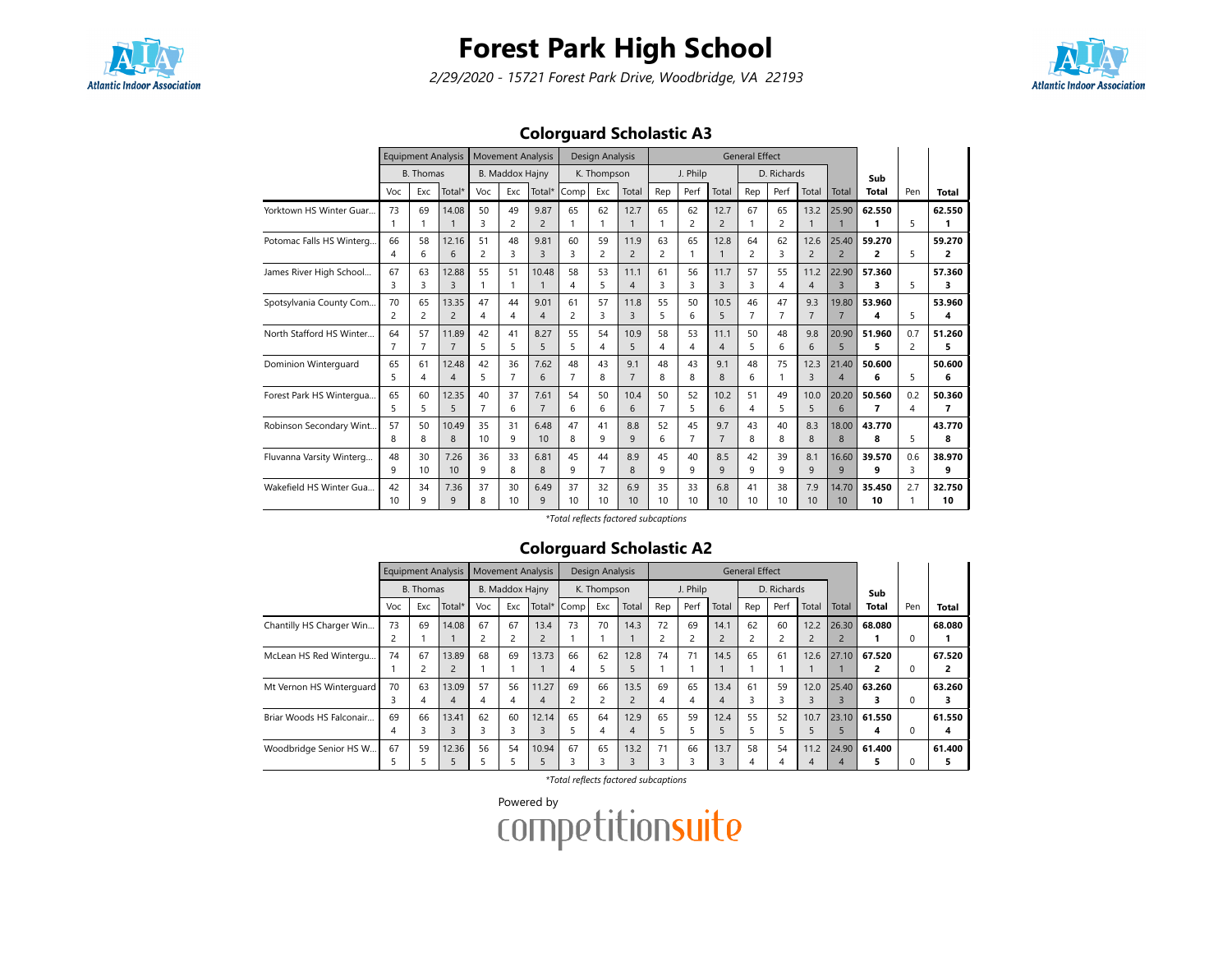

2/29/2020 - 15721 Forest Park Drive, Woodbridge, VA 22193



### Colorguard Scholastic A3

|                          |                      | <b>Equipment Analysis</b> |                         |                      | <b>Movement Analysis</b> |                        |          | <b>Design Analysis</b> |                        |                      |          |                        | <b>General Effect</b> |                      |                        |                                  |                          |          |              |
|--------------------------|----------------------|---------------------------|-------------------------|----------------------|--------------------------|------------------------|----------|------------------------|------------------------|----------------------|----------|------------------------|-----------------------|----------------------|------------------------|----------------------------------|--------------------------|----------|--------------|
|                          |                      | <b>B.</b> Thomas          |                         |                      | <b>B. Maddox Hajny</b>   |                        |          | K. Thompson            |                        |                      | J. Philp |                        |                       | D. Richards          |                        |                                  | Sub                      |          |              |
|                          | Voc                  | Exc                       | Total*                  | Voc                  | Exc                      | Total*                 | Comp     | Exc                    | Total                  | Rep                  | Perf     | Total                  | Rep                   | Perf                 | Total                  | Total                            | Total                    | Pen      | Total        |
| Yorktown HS Winter Guar  | 73                   | 69<br>1                   | 14.08                   | 50<br>3              | 49<br>$\overline{2}$     | 9.87<br>$\overline{2}$ | 65       | 62<br>1                | 12.7<br>1              | 65<br>1              | 62<br>2  | 12.7<br>$\overline{2}$ | 67                    | 65<br>$\overline{c}$ | 13.2<br>$\mathbf{1}$   | 25.90                            | 62.550<br>1              | 5        | 62.550<br>1  |
| Potomac Falls HS Winterg | 66<br>4              | 58<br>6                   | 12.16<br>6              | 51<br>$\overline{c}$ | 48<br>3                  | 9.81<br>3              | 60<br>3  | 59<br>$\overline{2}$   | 11.9<br>$\overline{2}$ | 63<br>$\overline{c}$ | 65<br>1  | 12.8                   | 64<br>$\overline{2}$  | 62<br>3              | 12.6<br>$\overline{2}$ | 25.40<br>$\overline{2}$          | 59.270<br>$\overline{2}$ | 5        | 59.270<br>2  |
| James River High School  | 67<br>3              | 63<br>3                   | 12.88<br>3              | 55<br>1              | 51<br>1                  | 10.48                  | 58<br>4  | 53<br>5                | 11.1<br>$\overline{4}$ | 61<br>3              | 56<br>3  | 11.7<br>3              | 57<br>3               | 55<br>4              | 11.2<br>4              | 22.90<br>$\overline{3}$          | 57.360<br>3              | 5        | 57.360<br>3  |
| Spotsylvania County Com  | 70<br>$\overline{c}$ | 65<br>$\overline{c}$      | 13.35<br>$\overline{2}$ | 47<br>4              | 44<br>4                  | 9.01<br>4              | 61<br>2  | 57<br>3                | 11.8<br>3              | 55<br>5              | 50<br>6  | 10.5<br>5              | 46<br>7               | 47<br>7              | 9.3<br>$\overline{7}$  | 19.80<br>$\overline{7}$          | 53.960<br>4              | 5        | 53.960<br>4  |
| North Stafford HS Winter | 64<br>7              | 57<br>$\overline{7}$      | 11.89<br>$\overline{7}$ | 42<br>5              | 41<br>5                  | 8.27<br>5              | 55<br>5  | 54<br>4                | 10.9<br>5              | 58<br>4              | 53<br>4  | 11.1<br>$\overline{A}$ | 50<br>5               | 48<br>6              | 9.8<br>6               | 20.90<br>5                       | 51.960<br>5              | 0.7<br>2 | 51.260<br>5  |
| Dominion Winterguard     | 65<br>5              | 61<br>4                   | 12.48<br>$\overline{4}$ | 42<br>5              | 36<br>$\overline{7}$     | 7.62<br>6              | 48<br>7  | 43<br>8                | 9.1<br>$\overline{7}$  | 48<br>8              | 43<br>8  | 9.1<br>$\mathsf{R}$    | 48<br>6               | 75                   | 12.3<br>3              | 21.40<br>$\overline{\mathbf{A}}$ | 50.600<br>6              | 5        | 50.600<br>6  |
| Forest Park HS Wintergua | 65<br>5              | 60<br>5                   | 12.35<br>5              | 40<br>$\overline{7}$ | 37<br>6                  | 7.61<br>$\overline{7}$ | 54<br>6  | 50<br>6                | 10.4<br>6              | 50<br>$\overline{7}$ | 52<br>5  | 10.2<br>6              | 51<br>4               | 49<br>5              | 10.0<br>5              | 20.20<br>6                       | 50.560<br>7              | 0.2<br>4 | 50.360<br>7  |
| Robinson Secondary Wint  | 57<br>8              | 50<br>8                   | 10.49<br>8              | 35<br>10             | 31<br>9                  | 6.48<br>10             | 47<br>8  | 41<br>9                | 8.8<br>9               | 52<br>6              | 45<br>7  | 9.7<br>$\overline{7}$  | 43<br>8               | 40<br>8              | 8.3<br>8               | 18.00<br>8                       | 43.770<br>8              | 5        | 43.770<br>8  |
| Fluvanna Varsity Winterg | 48<br>9              | 30<br>10                  | 7.26<br>10              | 36<br>9              | 33<br>8                  | 6.81<br>8              | 45<br>9  | 44<br>$\overline{7}$   | 8.9<br>8               | 45<br>9              | 40<br>9  | 8.5<br>9               | 42<br>$\mathsf{q}$    | 39<br>9              | 8.1<br>9               | 16.60<br>9                       | 39.570<br>9              | 0.6<br>3 | 38.970<br>9  |
| Wakefield HS Winter Gua  | 42<br>10             | 34<br>9                   | 7.36<br>9               | 37<br>8              | 30<br>10                 | 6.49<br>9              | 37<br>10 | 32<br>10               | 6.9<br>10              | 35<br>10             | 33<br>10 | 6.8<br>10              | 41<br>10              | 38<br>10             | 7.9<br>10              | 14.70<br>10                      | 35.450<br>10             | 2.7      | 32.750<br>10 |

\*Total reflects factored subcaptions

#### Colorguard Scholastic A2

|                          |         |           | <b>Equipment Analysis</b> |         |                      | <b>Movement Analysis</b> |                      | Design Analysis      |           |                      |                      |           | <b>General Effect</b> |             |                        |            |              |          |             |
|--------------------------|---------|-----------|---------------------------|---------|----------------------|--------------------------|----------------------|----------------------|-----------|----------------------|----------------------|-----------|-----------------------|-------------|------------------------|------------|--------------|----------|-------------|
|                          |         | B. Thomas |                           |         | B. Maddox Hajny      |                          |                      | K. Thompson          |           |                      | J. Philp             |           |                       | D. Richards |                        |            | Sub          |          |             |
|                          | Voc     | Exc       | Total*                    | Voc     | Exc                  | Total*                   | Comp                 | Exc                  | Total     | Rep                  | Perf                 | Total     | Rep                   | Perf        | Total                  | Total      | <b>Total</b> | Pen      | Total       |
| Chantilly HS Charger Win | 73<br>2 | 69        | 14.08                     | 67      | 67<br>$\overline{c}$ | 13.4<br>$\overline{2}$   | 73                   | 70                   | 14.3      | 72<br>$\overline{c}$ | 69<br>$\overline{c}$ | 14.1      | 62<br>2               | 60          | 12.2<br>$\overline{2}$ | 26.30<br>2 | 68.080       | 0        | 68.080      |
| McLean HS Red Wintergu   | 74      | 67        | 13.89<br>$\overline{2}$   | 68      | 69                   | 13.73                    | 66<br>4              | 62<br>5              | 12.8<br>5 | 74                   | 71                   | 14.5      | 65                    | 61          | 12.6                   | 27.10      | 67.520       | 0        | 67.520<br>2 |
| Mt Vernon HS Winterquard | 70<br>3 | 63<br>4   | 13.09<br>$\overline{4}$   | 57<br>4 | 56<br>4              | 11.27<br>4               | 69<br>$\overline{c}$ | 66<br>$\overline{c}$ | 13.5      | 69<br>4              | 65<br>4              | 13.4<br>4 | 61<br>3               | 59          | 12.0<br>3              | 25.40      | 63.260       | 0        | 63.260<br>3 |
| Briar Woods HS Falconair | 69<br>4 | 66<br>3   | 13.41<br>3                | 62<br>3 | 60<br>3              | 12.14<br>3.              | 65<br>5              | 64<br>4              | 12.9<br>4 | 65<br>5              | 59<br>5              | 12.4      | 55<br>5               | 52<br>ב     | 10.7<br>5              | 23.10<br>5 | 61.550<br>4  | $\Omega$ | 61.550<br>4 |
| Woodbridge Senior HS W   | 67<br>∍ | 59<br>╮   | 12.36<br>5                | 56      | 54                   | 10.94                    | 67<br>ς              | 65<br>3              | 13.2      | 71<br>3              | 66<br>3              | 13.7      | 58<br>4               | 54<br>4     | 11.2<br>4              | 24.90<br>4 | 61.400       | 0        | 61.400<br>5 |

\*Total reflects factored subcaptions